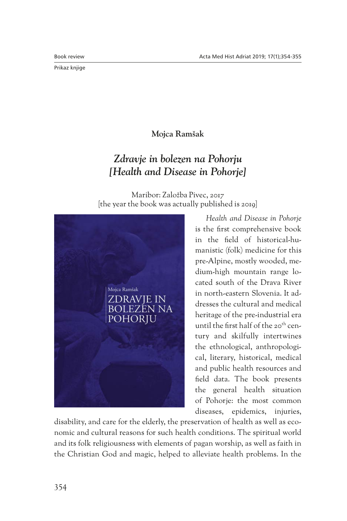Prikaz knjige

**Mojca Ramšak**

## *Zdravje in bolezen na Pohorju [Health and Disease in Pohorje]*

Maribor: Založba Pivec, 2017 [the year the book was actually published is 2019]



*Health and Disease in Pohorje* is the first comprehensive book in the field of historical-humanistic (folk) medicine for this pre-Alpine, mostly wooded, medium-high mountain range located south of the Drava River in north-eastern Slovenia. It addresses the cultural and medical heritage of the pre-industrial era until the first half of the 20<sup>th</sup> century and skilfully intertwines the ethnological, anthropological, literary, historical, medical and public health resources and field data. The book presents the general health situation of Pohorje: the most common diseases, epidemics, injuries,

disability, and care for the elderly, the preservation of health as well as economic and cultural reasons for such health conditions. The spiritual world and its folk religiousness with elements of pagan worship, as well as faith in the Christian God and magic, helped to alleviate health problems. In the